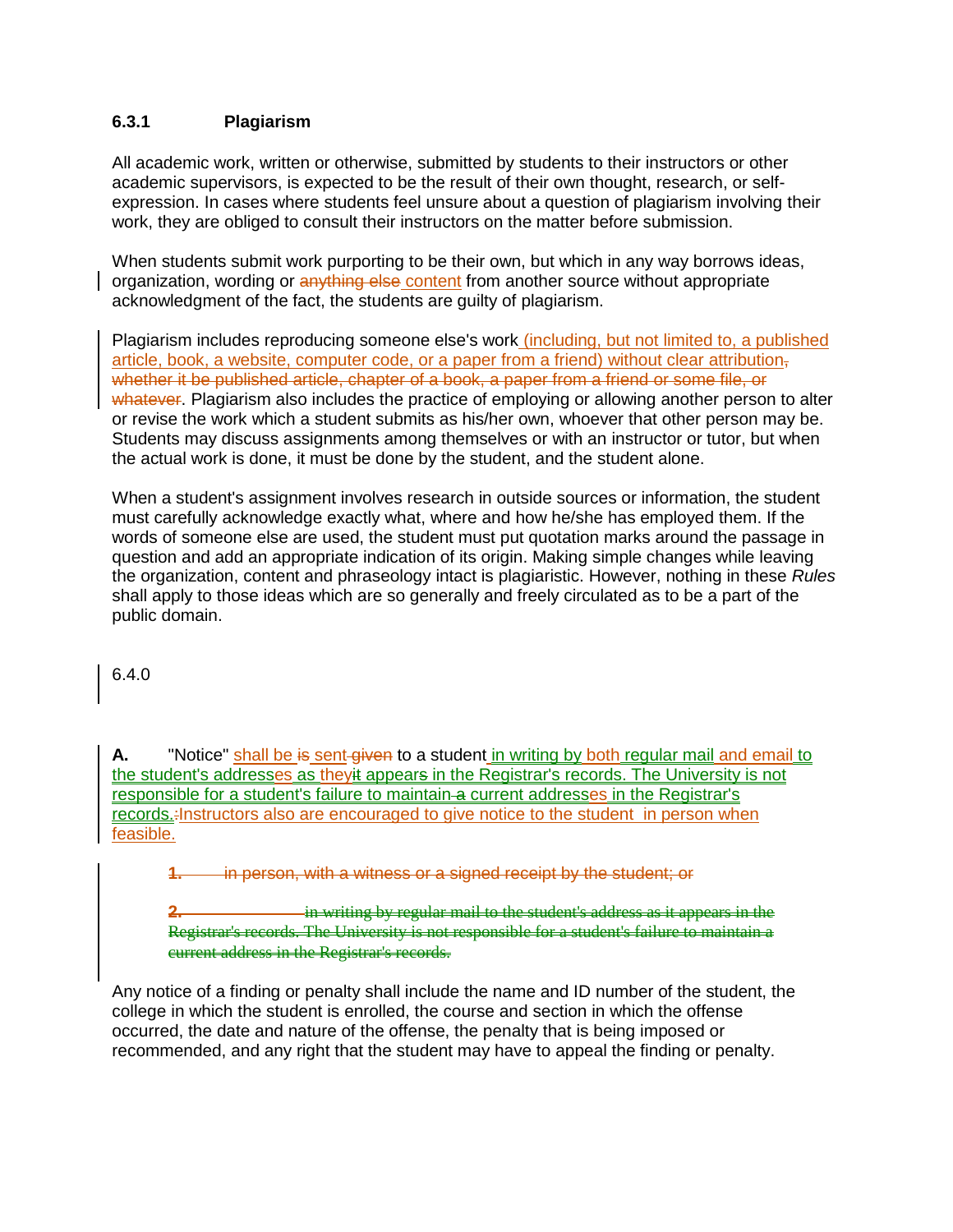## **6.3.1 Plagiarism**

All academic work, written or otherwise, submitted by students to their instructors or other academic supervisors, is expected to be the result of their own thought, research, or selfexpression. In cases where students feel unsure about a question of plagiarism involving their work, they are obliged to consult their instructors on the matter before submission.

When students submit work purporting to be their own, but which in any way borrows ideas, organization, wording or anything else content from another source without appropriate acknowledgment of the fact, the students are guilty of plagiarism.

Plagiarism includes reproducing someone else's work (including, but not limited to, a published article, book, a website, computer code, or a paper from a friend) without clear attribution, whether it be published article, chapter of a book, a paper from a friend or some file, or whatever. Plagiarism also includes the practice of employing or allowing another person to alter or revise the work which a student submits as his/her own, whoever that other person may be. Students may discuss assignments among themselves or with an instructor or tutor, but when the actual work is done, it must be done by the student, and the student alone.

When a student's assignment involves research in outside sources or information, the student must carefully acknowledge exactly what, where and how he/she has employed them. If the words of someone else are used, the student must put quotation marks around the passage in question and add an appropriate indication of its origin. Making simple changes while leaving the organization, content and phraseology intact is plagiaristic. However, nothing in these *Rules*  shall apply to those ideas which are so generally and freely circulated as to be a part of the public domain.

6.4.0

**A.** "Notice" shall be is sent given to a student in writing by both regular mail and email to the student's addresses as theyit appears in the Registrar's records. The University is not responsible for a student's failure to maintain a current addresses in the Registrar's records.:Instructors also are encouraged to give notice to the student in person when feasible.

**1.** in person, with a witness or a signed receipt by the student; or

**2.** in writing by regular mail to the student's address as it appears in the Registrar's records. The University is not responsible for a student's failure to maintain a current address in the Registrar's records.

Any notice of a finding or penalty shall include the name and ID number of the student, the college in which the student is enrolled, the course and section in which the offense occurred, the date and nature of the offense, the penalty that is being imposed or recommended, and any right that the student may have to appeal the finding or penalty.